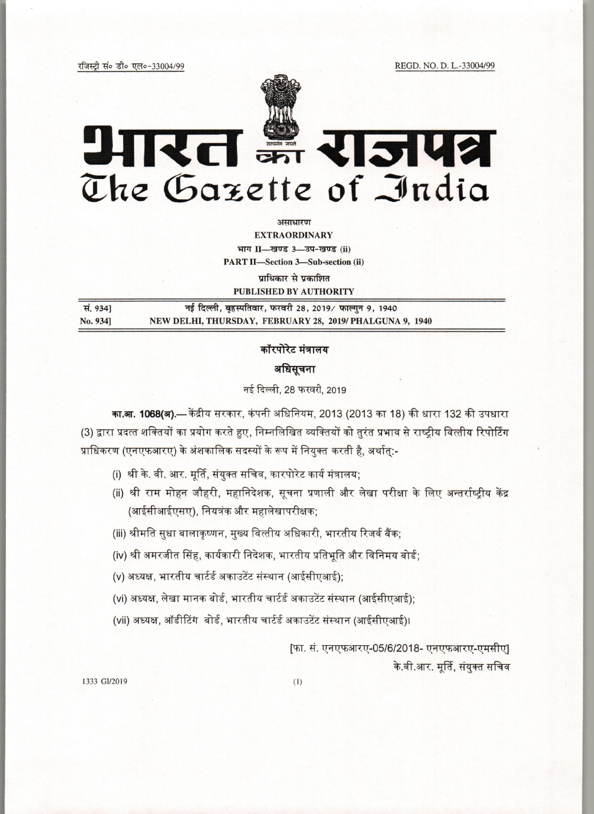# आरत इं राजपत्र  $The$  Gazette of India

असाधारण

EXTRAORDINARY

भाग II-खण्ड 3-उप-खण्ड (ii)

PART II-Section 3-Sub-section (ii)

प्राधिकार से प्रकाशित

|          | PUBLISHED BY AUTHORITY                                  |
|----------|---------------------------------------------------------|
| स. 9341  | नई दिल्ली, बृहस्पतिवार, फरवरी 28, 2019/ फाल्गुन 9, 1940 |
| No. 9341 | NEW DELHI, THURSDAY, FEBRUARY 28, 2019/PHALGUNA 9, 1940 |

## कॉरपोरेट मंत्रालय

### अधिसूचना

नई दिल्ली, 28 फरवरी, 2019

का.<mark>आ. 1068(अ).—</mark> केंद्रीय सरकार, कंपनी अधिनियम, 2013 (2013 का 18) की धारा 132 की उपधारा (3) द्वारा प्रदत्त शक्तियों का प्रयोग करते हुए, निम्नलिखित व्यक्तियों को तुरंत प्रभाव से राष्ट्रीय वित्तीय रिपोर्टिंग<br>प्राधिकरण (एनएफआरए) के अंशकालिक सदस्यों के रूप में नियुक्त करती है, अर्थात्:-प्राधिकरण (एनएफआरए) के अंशकालिक सदस्यों के रूप में नियुक्त करती है, अर्थात्:-<br>.<br>(i) श्री के. वी. आर. मूर्ति, संयुक्त सचिव, कारपोरेट कार्य मंत्रालय:

- 
- (ii) श्री राम मोहन जौहरी, महानिदेशक, सूचना प्रणाली और लेखा परीक्षा के लिए अन्तर्राष्ट्रीय केंद्र (आईसीआईएसए), नियत्रंक और महालेखापरीक्षक;
- (iii) श्रीमति सुधा बालाकृष्णन, मुख्य वित्तीय अधिकारी, भारतीय रिजर्व बैंक;
- (iv) श्री अमरजीत सिंह, कार्यकारी निदेशक, भारतीय प्रतिभूति और विनिमय बोर्ड;
- (v) अध्यक्ष, भारतीय चार्टर्ड अकाउटेंट संस्थान (आईसीएआई);
- (v) अध्यक्ष, भारतीय चार्टर्ड अकाउटेंट संस्थान (आईसीएआई);<br>(vi) अध्यक्ष, लेखा मानक बोर्ड, भारतीय चार्टर्ड अकाउटेंट संस्थान (आईसीएआई);<br>(vii) अध्यक्ष, ऑडीटिंग बोर्ड, भारतीय चार्टर्ड अकाउटेंट संस्थान (आईसीएआई)।
- 

[फा. सं. एनएफआरए-05/6/2018- एनएफआरए-एमसीए] के.वी.आर. मूर्ति, संयुक्त सचिव

1333 *GU2019* (I)